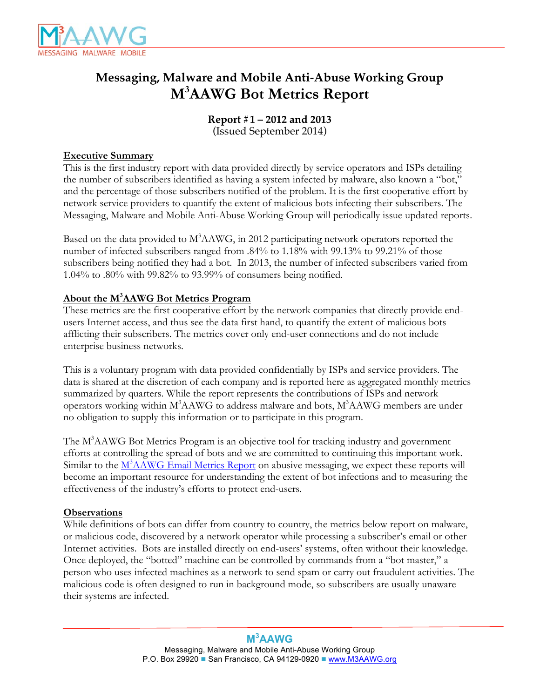

# **Messaging, Malware and Mobile Anti-Abuse Working Group M3 AAWG Bot Metrics Report**

**Report #1 – 2012 and 2013**  (Issued September 2014)

## **Executive Summary**

This is the first industry report with data provided directly by service operators and ISPs detailing the number of subscribers identified as having a system infected by malware, also known a "bot," and the percentage of those subscribers notified of the problem. It is the first cooperative effort by network service providers to quantify the extent of malicious bots infecting their subscribers. The Messaging, Malware and Mobile Anti-Abuse Working Group will periodically issue updated reports.

Based on the data provided to M<sup>3</sup>AAWG, in 2012 participating network operators reported the number of infected subscribers ranged from .84% to 1.18% with 99.13% to 99.21% of those subscribers being notified they had a bot. In 2013, the number of infected subscribers varied from 1.04% to .80% with 99.82% to 93.99% of consumers being notified.

## **About the M3 AAWG Bot Metrics Program**

These metrics are the first cooperative effort by the network companies that directly provide endusers Internet access, and thus see the data first hand, to quantify the extent of malicious bots afflicting their subscribers. The metrics cover only end-user connections and do not include enterprise business networks.

This is a voluntary program with data provided confidentially by ISPs and service providers. The data is shared at the discretion of each company and is reported here as aggregated monthly metrics summarized by quarters. While the report represents the contributions of ISPs and network operators working within  $M^3$ AAWG to address malware and bots,  $M^3$ AAWG members are under no obligation to supply this information or to participate in this program.

The M<sup>3</sup>AAWG Bot Metrics Program is an objective tool for tracking industry and government efforts at controlling the spread of bots and we are committed to continuing this important work. Similar to the M<sup>3</sup>[AAWG Email Metrics Report](www.m3aawg.org/email_and_bot_metrics_report) on abusive messaging, we expect these reports will become an important resource for understanding the extent of bot infections and to measuring the effectiveness of the industry's efforts to protect end-users.

## **Observations**

While definitions of bots can differ from country to country, the metrics below report on malware, or malicious code, discovered by a network operator while processing a subscriber's email or other Internet activities. Bots are installed directly on end-users' systems, often without their knowledge. Once deployed, the "botted" machine can be controlled by commands from a "bot master," a person who uses infected machines as a network to send spam or carry out fraudulent activities. The malicious code is often designed to run in background mode, so subscribers are usually unaware their systems are infected.